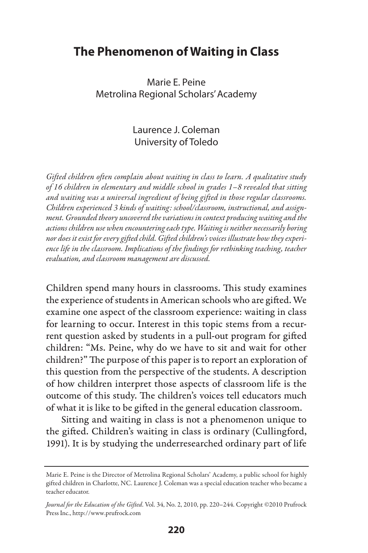# **The Phenomenon of Waiting in Class**

# Marie E. Peine Metrolina Regional Scholars' Academy

# Laurence J. Coleman University of Toledo

*Gifted children often complain about waiting in class to learn. A qualitative study of 16 children in elementary and middle school in grades 1–8 revealed that sitting and waiting was a universal ingredient of being gifted in those regular classrooms. Children experienced 3 kinds of waiting: school/classroom, instructional, and assignment. Grounded theory uncovered the variations in context producing waiting and the actions children use when encountering each type. Waiting is neither necessarily boring nor does it exist for every gifted child. Gifted children's voices illustrate how they experience life in the classroom. Implications of the findings for rethinking teaching, teacher evaluation, and classroom management are discussed.* 

Children spend many hours in classrooms. This study examines the experience of students in American schools who are gifted. We examine one aspect of the classroom experience: waiting in class for learning to occur. Interest in this topic stems from a recurrent question asked by students in a pull-out program for gifted children: "Ms. Peine, why do we have to sit and wait for other children?" The purpose of this paper is to report an exploration of this question from the perspective of the students. A description of how children interpret those aspects of classroom life is the outcome of this study. The children's voices tell educators much of what it is like to be gifted in the general education classroom.

Sitting and waiting in class is not a phenomenon unique to the gifted. Children's waiting in class is ordinary (Cullingford, 1991). It is by studying the underresearched ordinary part of life

Marie E. Peine is the Director of Metrolina Regional Scholars' Academy, a public school for highly gifted children in Charlotte, NC. Laurence J. Coleman was a special education teacher who became a teacher educator.

*Journal for the Education of the Gifted*. Vol. 34, No. 2, 2010, pp. 220–244. Copyright ©2010 Prufrock Press Inc., http://www.prufrock.com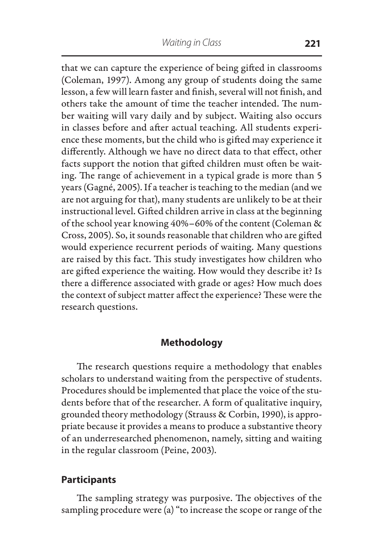that we can capture the experience of being gifted in classrooms (Coleman, 1997). Among any group of students doing the same lesson, a few will learn faster and finish, several will not finish, and others take the amount of time the teacher intended. The number waiting will vary daily and by subject. Waiting also occurs in classes before and after actual teaching. All students experience these moments, but the child who is gifted may experience it differently. Although we have no direct data to that effect, other facts support the notion that gifted children must often be waiting. The range of achievement in a typical grade is more than 5 years (Gagné, 2005). If a teacher is teaching to the median (and we are not arguing for that), many students are unlikely to be at their instructional level. Gifted children arrive in class at the beginning of the school year knowing 40%–60% of the content (Coleman & Cross, 2005). So, it sounds reasonable that children who are gifted would experience recurrent periods of waiting. Many questions are raised by this fact. This study investigates how children who are gifted experience the waiting. How would they describe it? Is there a difference associated with grade or ages? How much does the context of subject matter affect the experience? These were the research questions.

# **Methodology**

The research questions require a methodology that enables scholars to understand waiting from the perspective of students. Procedures should be implemented that place the voice of the students before that of the researcher. A form of qualitative inquiry, grounded theory methodology (Strauss & Corbin, 1990), is appropriate because it provides a means to produce a substantive theory of an underresearched phenomenon, namely, sitting and waiting in the regular classroom (Peine, 2003).

# **Participants**

The sampling strategy was purposive. The objectives of the sampling procedure were (a) "to increase the scope or range of the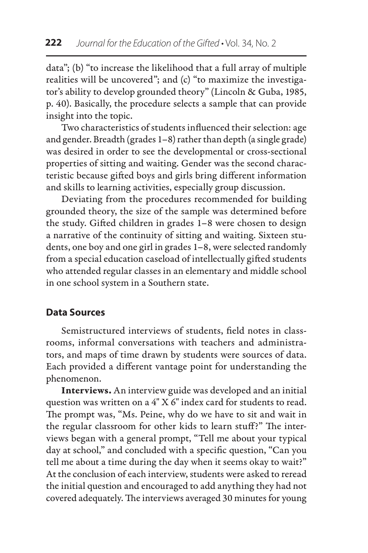data"; (b) "to increase the likelihood that a full array of multiple realities will be uncovered"; and (c) "to maximize the investigator's ability to develop grounded theory" (Lincoln & Guba, 1985, p. 40). Basically, the procedure selects a sample that can provide insight into the topic.

Two characteristics of students influenced their selection: age and gender. Breadth (grades 1–8) rather than depth (a single grade) was desired in order to see the developmental or cross-sectional properties of sitting and waiting. Gender was the second characteristic because gifted boys and girls bring different information and skills to learning activities, especially group discussion.

Deviating from the procedures recommended for building grounded theory, the size of the sample was determined before the study. Gifted children in grades 1–8 were chosen to design a narrative of the continuity of sitting and waiting. Sixteen students, one boy and one girl in grades 1–8, were selected randomly from a special education caseload of intellectually gifted students who attended regular classes in an elementary and middle school in one school system in a Southern state.

# **Data Sources**

Semistructured interviews of students, field notes in classrooms, informal conversations with teachers and administrators, and maps of time drawn by students were sources of data. Each provided a different vantage point for understanding the phenomenon.

Interviews. An interview guide was developed and an initial question was written on a 4" X 6" index card for students to read. The prompt was, "Ms. Peine, why do we have to sit and wait in the regular classroom for other kids to learn stuff?" The interviews began with a general prompt, "Tell me about your typical day at school," and concluded with a specific question, "Can you tell me about a time during the day when it seems okay to wait?" At the conclusion of each interview, students were asked to reread the initial question and encouraged to add anything they had not covered adequately. The interviews averaged 30 minutes for young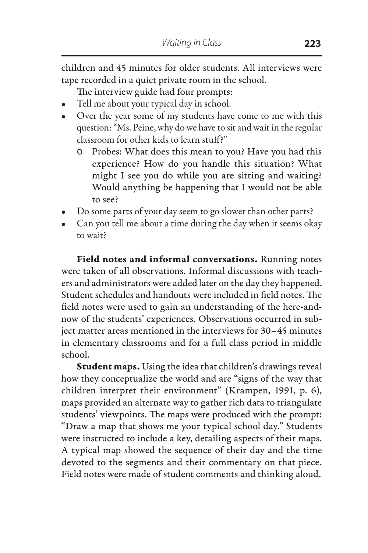children and 45 minutes for older students. All interviews were tape recorded in a quiet private room in the school.

The interview guide had four prompts:

- Tell me about your typical day in school.
- Over the year some of my students have come to me with this question: "Ms. Peine, why do we have to sit and wait in the regular classroom for other kids to learn stuff?"
	- o Probes: What does this mean to you? Have you had this experience? How do you handle this situation? What might I see you do while you are sitting and waiting? Would anything be happening that I would not be able to see?
- Do some parts of your day seem to go slower than other parts?
- Can you tell me about a time during the day when it seems okay to wait?

Field notes and informal conversations. Running notes were taken of all observations. Informal discussions with teachers and administrators were added later on the day they happened. Student schedules and handouts were included in field notes. The field notes were used to gain an understanding of the here-andnow of the students' experiences. Observations occurred in subject matter areas mentioned in the interviews for 30–45 minutes in elementary classrooms and for a full class period in middle school.

Student maps. Using the idea that children's drawings reveal how they conceptualize the world and are "signs of the way that children interpret their environment" (Krampen, 1991, p. 6), maps provided an alternate way to gather rich data to triangulate students' viewpoints. The maps were produced with the prompt: "Draw a map that shows me your typical school day." Students were instructed to include a key, detailing aspects of their maps. A typical map showed the sequence of their day and the time devoted to the segments and their commentary on that piece. Field notes were made of student comments and thinking aloud.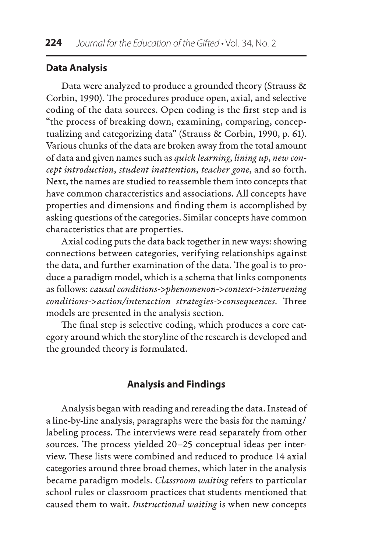# **Data Analysis**

Data were analyzed to produce a grounded theory (Strauss & Corbin, 1990). The procedures produce open, axial, and selective coding of the data sources. Open coding is the first step and is "the process of breaking down, examining, comparing, conceptualizing and categorizing data" (Strauss & Corbin, 1990, p. 61). Various chunks of the data are broken away from the total amount of data and given names such as *quick learning*, *lining up*, *new concept introduction*, *student inattention*, *teacher gone*, and so forth. Next, the names are studied to reassemble them into concepts that have common characteristics and associations. All concepts have properties and dimensions and finding them is accomplished by asking questions of the categories. Similar concepts have common characteristics that are properties.

Axial coding puts the data back together in new ways: showing connections between categories, verifying relationships against the data, and further examination of the data. The goal is to produce a paradigm model, which is a schema that links components as follows: *causal conditions->phenomenon->context->intervening conditions->action/interaction strategies->consequences.* Three models are presented in the analysis section.

The final step is selective coding, which produces a core category around which the storyline of the research is developed and the grounded theory is formulated.

# **Analysis and Findings**

Analysis began with reading and rereading the data. Instead of a line-by-line analysis, paragraphs were the basis for the naming/ labeling process. The interviews were read separately from other sources. The process yielded 20–25 conceptual ideas per interview. These lists were combined and reduced to produce 14 axial categories around three broad themes, which later in the analysis became paradigm models. *Classroom waiting* refers to particular school rules or classroom practices that students mentioned that caused them to wait. *Instructional waiting* is when new concepts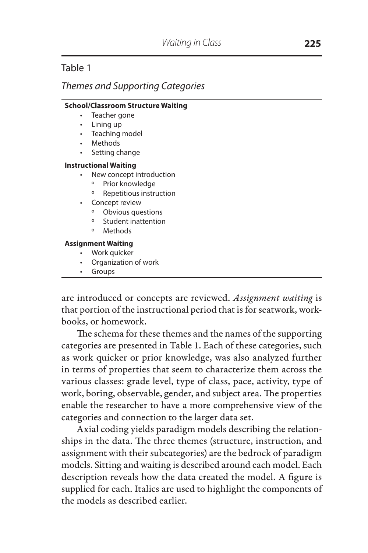# Table 1

# *Themes and Supporting Categories*

#### **School/Classroom Structure Waiting**

- Teacher gone
- Lining up
- Teaching model
- • Methods
- Setting change

#### **Instructional Waiting**

- New concept introduction
	- º Prior knowledge
	- º Repetitious instruction
- • Concept review
	- º Obvious questions
	- º Student inattention
	- º Methods

#### **Assignment Waiting**

- • Work quicker
- • Organization of work
- • Groups

are introduced or concepts are reviewed. *Assignment waiting* is that portion of the instructional period that is for seatwork, workbooks, or homework.

The schema for these themes and the names of the supporting categories are presented in Table 1. Each of these categories, such as work quicker or prior knowledge, was also analyzed further in terms of properties that seem to characterize them across the various classes: grade level, type of class, pace, activity, type of work, boring, observable, gender, and subject area. The properties enable the researcher to have a more comprehensive view of the categories and connection to the larger data set.

Axial coding yields paradigm models describing the relationships in the data. The three themes (structure, instruction, and assignment with their subcategories) are the bedrock of paradigm models. Sitting and waiting is described around each model. Each description reveals how the data created the model. A figure is supplied for each. Italics are used to highlight the components of the models as described earlier.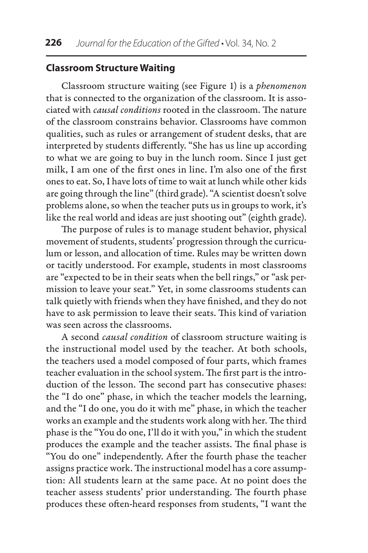# **Classroom Structure Waiting**

Classroom structure waiting (see Figure 1) is a *phenomenon* that is connected to the organization of the classroom. It is associated with *causal conditions* rooted in the classroom. The nature of the classroom constrains behavior. Classrooms have common qualities, such as rules or arrangement of student desks, that are interpreted by students differently. "She has us line up according to what we are going to buy in the lunch room. Since I just get milk, I am one of the first ones in line. I'm also one of the first ones to eat. So, I have lots of time to wait at lunch while other kids are going through the line" (third grade). "A scientist doesn't solve problems alone, so when the teacher puts us in groups to work, it's like the real world and ideas are just shooting out" (eighth grade).

The purpose of rules is to manage student behavior, physical movement of students, students' progression through the curriculum or lesson, and allocation of time. Rules may be written down or tacitly understood. For example, students in most classrooms are "expected to be in their seats when the bell rings," or "ask permission to leave your seat." Yet, in some classrooms students can talk quietly with friends when they have finished, and they do not have to ask permission to leave their seats. This kind of variation was seen across the classrooms.

A second *causal condition* of classroom structure waiting is the instructional model used by the teacher. At both schools, the teachers used a model composed of four parts, which frames teacher evaluation in the school system. The first part is the introduction of the lesson. The second part has consecutive phases: the "I do one" phase, in which the teacher models the learning, and the "I do one, you do it with me" phase, in which the teacher works an example and the students work along with her. The third phase is the "You do one, I'll do it with you," in which the student produces the example and the teacher assists. The final phase is "You do one" independently. After the fourth phase the teacher assigns practice work. The instructional model has a core assumption: All students learn at the same pace. At no point does the teacher assess students' prior understanding. The fourth phase produces these often-heard responses from students, "I want the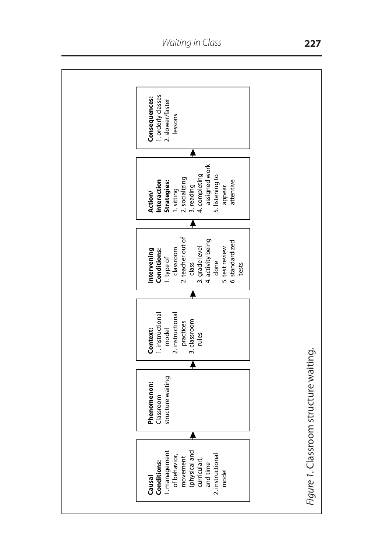

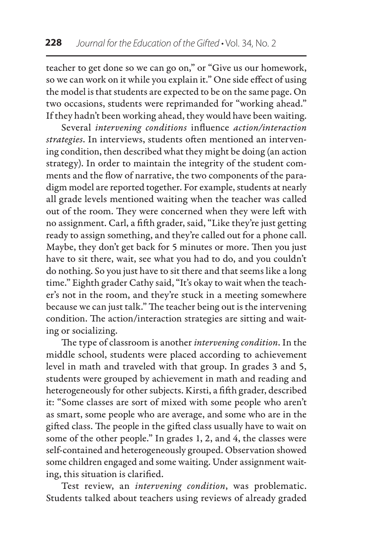teacher to get done so we can go on," or "Give us our homework, so we can work on it while you explain it." One side effect of using the model is that students are expected to be on the same page. On two occasions, students were reprimanded for "working ahead." If they hadn't been working ahead, they would have been waiting.

Several *intervening conditions* influence *action/interaction strategies*. In interviews, students often mentioned an intervening condition, then described what they might be doing (an action strategy). In order to maintain the integrity of the student comments and the flow of narrative, the two components of the paradigm model are reported together. For example, students at nearly all grade levels mentioned waiting when the teacher was called out of the room. They were concerned when they were left with no assignment. Carl, a fifth grader, said, "Like they're just getting ready to assign something, and they're called out for a phone call. Maybe, they don't get back for 5 minutes or more. Then you just have to sit there, wait, see what you had to do, and you couldn't do nothing. So you just have to sit there and that seems like a long time." Eighth grader Cathy said, "It's okay to wait when the teacher's not in the room, and they're stuck in a meeting somewhere because we can just talk." The teacher being out is the intervening condition. The action/interaction strategies are sitting and waiting or socializing.

The type of classroom is another *intervening condition*. In the middle school, students were placed according to achievement level in math and traveled with that group. In grades 3 and 5, students were grouped by achievement in math and reading and heterogeneously for other subjects. Kirsti, a fifth grader, described it: "Some classes are sort of mixed with some people who aren't as smart, some people who are average, and some who are in the gifted class. The people in the gifted class usually have to wait on some of the other people." In grades 1, 2, and 4, the classes were self-contained and heterogeneously grouped. Observation showed some children engaged and some waiting. Under assignment waiting, this situation is clarified.

Test review, an *intervening condition*, was problematic. Students talked about teachers using reviews of already graded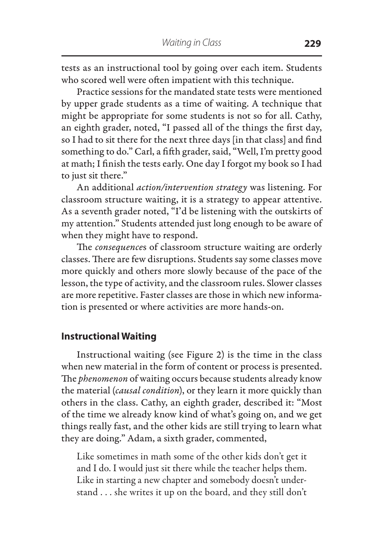tests as an instructional tool by going over each item. Students who scored well were often impatient with this technique.

Practice sessions for the mandated state tests were mentioned by upper grade students as a time of waiting. A technique that might be appropriate for some students is not so for all. Cathy, an eighth grader, noted, "I passed all of the things the first day, so I had to sit there for the next three days [in that class] and find something to do." Carl, a fifth grader, said, "Well, I'm pretty good at math; I finish the tests early. One day I forgot my book so I had to just sit there."

An additional *action/intervention strategy* was listening. For classroom structure waiting, it is a strategy to appear attentive. As a seventh grader noted, "I'd be listening with the outskirts of my attention." Students attended just long enough to be aware of when they might have to respond.

The *consequence*s of classroom structure waiting are orderly classes. There are few disruptions. Students say some classes move more quickly and others more slowly because of the pace of the lesson, the type of activity, and the classroom rules. Slower classes are more repetitive. Faster classes are those in which new information is presented or where activities are more hands-on.

### **Instructional Waiting**

Instructional waiting (see Figure 2) is the time in the class when new material in the form of content or process is presented. The *phenomenon* of waiting occurs because students already know the material (*causal condition*), or they learn it more quickly than others in the class. Cathy, an eighth grader, described it: "Most of the time we already know kind of what's going on, and we get things really fast, and the other kids are still trying to learn what they are doing." Adam, a sixth grader, commented,

Like sometimes in math some of the other kids don't get it and I do. I would just sit there while the teacher helps them. Like in starting a new chapter and somebody doesn't understand . . . she writes it up on the board, and they still don't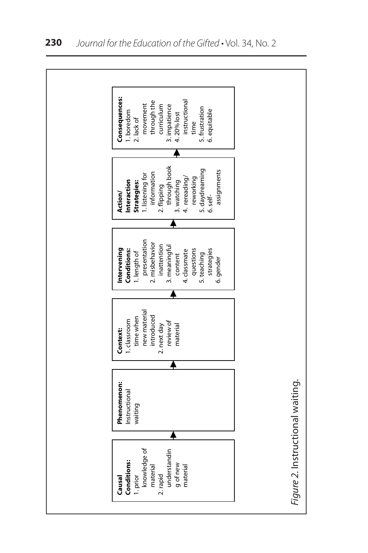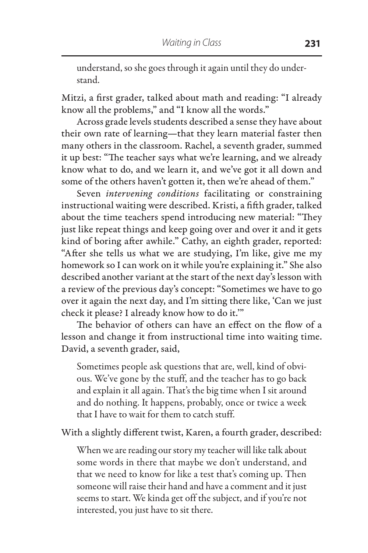understand, so she goes through it again until they do understand.

Mitzi, a first grader, talked about math and reading: "I already know all the problems," and "I know all the words."

Across grade levels students described a sense they have about their own rate of learning—that they learn material faster then many others in the classroom. Rachel, a seventh grader, summed it up best: "The teacher says what we're learning, and we already know what to do, and we learn it, and we've got it all down and some of the others haven't gotten it, then we're ahead of them."

Seven *intervening conditions* facilitating or constraining instructional waiting were described. Kristi, a fifth grader, talked about the time teachers spend introducing new material: "They just like repeat things and keep going over and over it and it gets kind of boring after awhile." Cathy, an eighth grader, reported: "After she tells us what we are studying, I'm like, give me my homework so I can work on it while you're explaining it." She also described another variant at the start of the next day's lesson with a review of the previous day's concept: "Sometimes we have to go over it again the next day, and I'm sitting there like, 'Can we just check it please? I already know how to do it.'"

The behavior of others can have an effect on the flow of a lesson and change it from instructional time into waiting time. David, a seventh grader, said,

Sometimes people ask questions that are, well, kind of obvious. We've gone by the stuff, and the teacher has to go back and explain it all again. That's the big time when I sit around and do nothing. It happens, probably, once or twice a week that I have to wait for them to catch stuff.

With a slightly different twist, Karen, a fourth grader, described:

When we are reading our story my teacher will like talk about some words in there that maybe we don't understand, and that we need to know for like a test that's coming up. Then someone will raise their hand and have a comment and it just seems to start. We kinda get off the subject, and if you're not interested, you just have to sit there.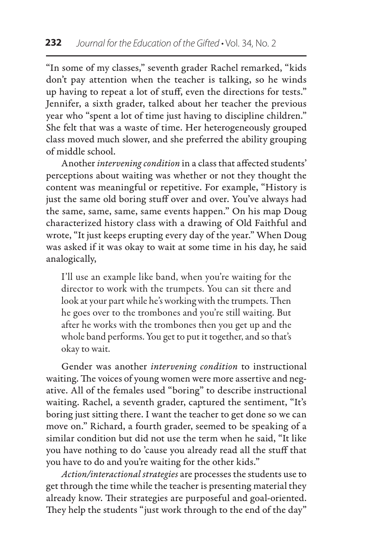"In some of my classes," seventh grader Rachel remarked, "kids don't pay attention when the teacher is talking, so he winds up having to repeat a lot of stuff, even the directions for tests." Jennifer, a sixth grader, talked about her teacher the previous year who "spent a lot of time just having to discipline children." She felt that was a waste of time. Her heterogeneously grouped class moved much slower, and she preferred the ability grouping of middle school.

Another *intervening condition* in a class that affected students' perceptions about waiting was whether or not they thought the content was meaningful or repetitive. For example, "History is just the same old boring stuff over and over. You've always had the same, same, same, same events happen." On his map Doug characterized history class with a drawing of Old Faithful and wrote, "It just keeps erupting every day of the year." When Doug was asked if it was okay to wait at some time in his day, he said analogically,

I'll use an example like band, when you're waiting for the director to work with the trumpets. You can sit there and look at your part while he's working with the trumpets. Then he goes over to the trombones and you're still waiting. But after he works with the trombones then you get up and the whole band performs. You get to put it together, and so that's okay to wait.

Gender was another *intervening condition* to instructional waiting. The voices of young women were more assertive and negative. All of the females used "boring" to describe instructional waiting. Rachel, a seventh grader, captured the sentiment, "It's boring just sitting there. I want the teacher to get done so we can move on." Richard, a fourth grader, seemed to be speaking of a similar condition but did not use the term when he said, "It like you have nothing to do 'cause you already read all the stuff that you have to do and you're waiting for the other kids."

*Action/interactional strategies* are processes the students use to get through the time while the teacher is presenting material they already know. Their strategies are purposeful and goal-oriented. They help the students "just work through to the end of the day"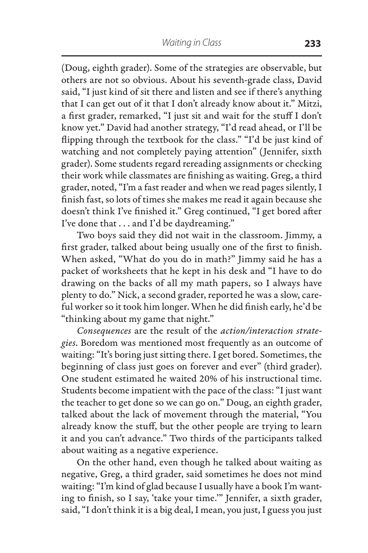(Doug, eighth grader). Some of the strategies are observable, but others are not so obvious. About his seventh-grade class, David said, "I just kind of sit there and listen and see if there's anything that I can get out of it that I don't already know about it." Mitzi, a first grader, remarked, "I just sit and wait for the stuff I don't know yet." David had another strategy, "I'd read ahead, or I'll be flipping through the textbook for the class." "I'd be just kind of watching and not completely paying attention" (Jennifer, sixth grader). Some students regard rereading assignments or checking their work while classmates are finishing as waiting. Greg, a third grader, noted, "I'm a fast reader and when we read pages silently, I finish fast, so lots of times she makes me read it again because she doesn't think I've finished it." Greg continued, "I get bored after I've done that . . . and I'd be daydreaming."

Two boys said they did not wait in the classroom. Jimmy, a first grader, talked about being usually one of the first to finish. When asked, "What do you do in math?" Jimmy said he has a packet of worksheets that he kept in his desk and "I have to do drawing on the backs of all my math papers, so I always have plenty to do." Nick, a second grader, reported he was a slow, careful worker so it took him longer. When he did finish early, he'd be "thinking about my game that night."

*Consequences* are the result of the *action/interaction strategies*. Boredom was mentioned most frequently as an outcome of waiting: "It's boring just sitting there. I get bored. Sometimes, the beginning of class just goes on forever and ever" (third grader). One student estimated he waited 20% of his instructional time. Students become impatient with the pace of the class: "I just want the teacher to get done so we can go on." Doug, an eighth grader, talked about the lack of movement through the material, "You already know the stuff, but the other people are trying to learn it and you can't advance." Two thirds of the participants talked about waiting as a negative experience.

On the other hand, even though he talked about waiting as negative, Greg, a third grader, said sometimes he does not mind waiting: "I'm kind of glad because I usually have a book I'm wanting to finish, so I say, 'take your time.'" Jennifer, a sixth grader, said, "I don't think it is a big deal, I mean, you just, I guess you just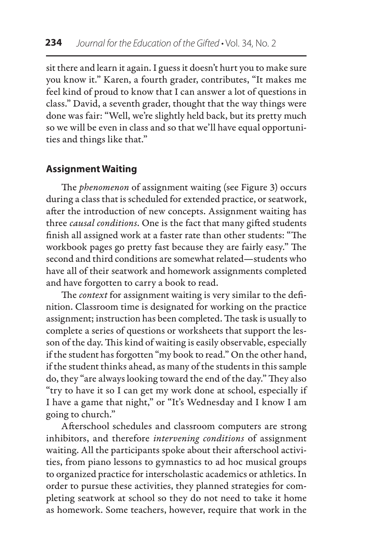sit there and learn it again. I guess it doesn't hurt you to make sure you know it." Karen, a fourth grader, contributes, "It makes me feel kind of proud to know that I can answer a lot of questions in class." David, a seventh grader, thought that the way things were done was fair: "Well, we're slightly held back, but its pretty much so we will be even in class and so that we'll have equal opportunities and things like that."

# **Assignment Waiting**

The *phenomenon* of assignment waiting (see Figure 3) occurs during a class that is scheduled for extended practice, or seatwork, after the introduction of new concepts. Assignment waiting has three *causal conditions*. One is the fact that many gifted students finish all assigned work at a faster rate than other students: "The workbook pages go pretty fast because they are fairly easy." The second and third conditions are somewhat related—students who have all of their seatwork and homework assignments completed and have forgotten to carry a book to read.

The *context* for assignment waiting is very similar to the definition. Classroom time is designated for working on the practice assignment; instruction has been completed. The task is usually to complete a series of questions or worksheets that support the lesson of the day. This kind of waiting is easily observable, especially if the student has forgotten "my book to read." On the other hand, if the student thinks ahead, as many of the students in this sample do, they "are always looking toward the end of the day." They also "try to have it so I can get my work done at school, especially if I have a game that night," or "It's Wednesday and I know I am going to church."

Afterschool schedules and classroom computers are strong inhibitors, and therefore *intervening conditions* of assignment waiting. All the participants spoke about their afterschool activities, from piano lessons to gymnastics to ad hoc musical groups to organized practice for interscholastic academics or athletics. In order to pursue these activities, they planned strategies for completing seatwork at school so they do not need to take it home as homework. Some teachers, however, require that work in the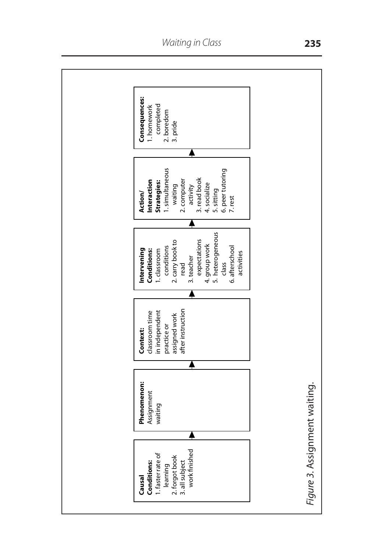

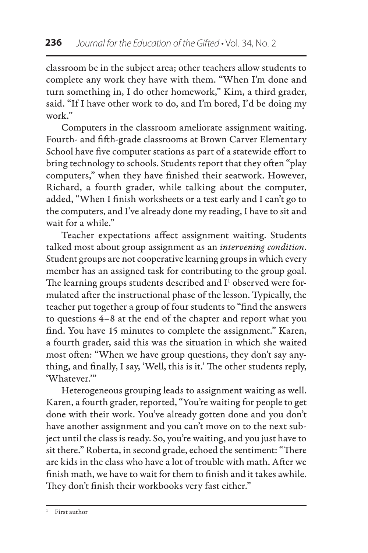classroom be in the subject area; other teachers allow students to complete any work they have with them. "When I'm done and turn something in, I do other homework," Kim, a third grader, said. "If I have other work to do, and I'm bored, I'd be doing my work."

Computers in the classroom ameliorate assignment waiting. Fourth- and fifth-grade classrooms at Brown Carver Elementary School have five computer stations as part of a statewide effort to bring technology to schools. Students report that they often "play computers," when they have finished their seatwork. However, Richard, a fourth grader, while talking about the computer, added, "When I finish worksheets or a test early and I can't go to the computers, and I've already done my reading, I have to sit and wait for a while."

Teacher expectations affect assignment waiting. Students talked most about group assignment as an *intervening condition*. Student groups are not cooperative learning groups in which every member has an assigned task for contributing to the group goal. The learning groups students described and  $I<sup>1</sup>$  observed were formulated after the instructional phase of the lesson. Typically, the teacher put together a group of four students to "find the answers to questions 4–8 at the end of the chapter and report what you find. You have 15 minutes to complete the assignment." Karen, a fourth grader, said this was the situation in which she waited most often: "When we have group questions, they don't say anything, and finally, I say, 'Well, this is it.' The other students reply, 'Whatever.'"

Heterogeneous grouping leads to assignment waiting as well. Karen, a fourth grader, reported, "You're waiting for people to get done with their work. You've already gotten done and you don't have another assignment and you can't move on to the next subject until the class is ready. So, you're waiting, and you just have to sit there." Roberta, in second grade, echoed the sentiment: "There are kids in the class who have a lot of trouble with math. After we finish math, we have to wait for them to finish and it takes awhile. They don't finish their workbooks very fast either."

<sup>1</sup> First author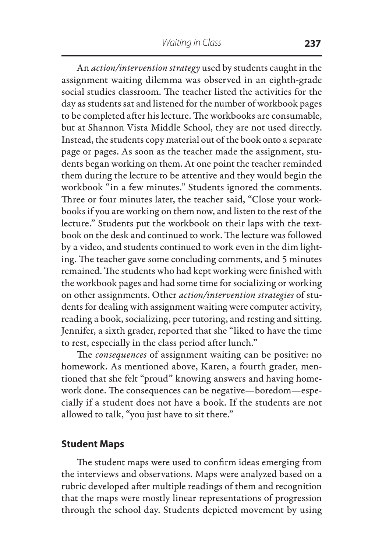An *action/intervention strategy* used by students caught in the assignment waiting dilemma was observed in an eighth-grade social studies classroom. The teacher listed the activities for the day as students sat and listened for the number of workbook pages to be completed after his lecture. The workbooks are consumable, but at Shannon Vista Middle School, they are not used directly. Instead, the students copy material out of the book onto a separate page or pages. As soon as the teacher made the assignment, students began working on them. At one point the teacher reminded them during the lecture to be attentive and they would begin the workbook "in a few minutes." Students ignored the comments. Three or four minutes later, the teacher said, "Close your workbooks if you are working on them now, and listen to the rest of the lecture." Students put the workbook on their laps with the textbook on the desk and continued to work. The lecture was followed by a video, and students continued to work even in the dim lighting. The teacher gave some concluding comments, and 5 minutes remained. The students who had kept working were finished with the workbook pages and had some time for socializing or working on other assignments. Other *action/intervention strategies* of students for dealing with assignment waiting were computer activity, reading a book, socializing, peer tutoring, and resting and sitting. Jennifer, a sixth grader, reported that she "liked to have the time to rest, especially in the class period after lunch."

The *consequences* of assignment waiting can be positive: no homework. As mentioned above, Karen, a fourth grader, mentioned that she felt "proud" knowing answers and having homework done. The consequences can be negative—boredom—especially if a student does not have a book. If the students are not allowed to talk, "you just have to sit there."

### **Student Maps**

The student maps were used to confirm ideas emerging from the interviews and observations. Maps were analyzed based on a rubric developed after multiple readings of them and recognition that the maps were mostly linear representations of progression through the school day. Students depicted movement by using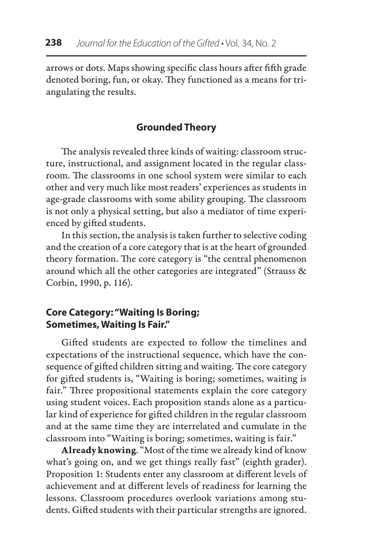arrows or dots. Maps showing specific class hours after fifth grade denoted boring, fun, or okay. They functioned as a means for triangulating the results.

# **Grounded Theory**

The analysis revealed three kinds of waiting: classroom structure, instructional, and assignment located in the regular classroom. The classrooms in one school system were similar to each other and very much like most readers' experiences as students in age-grade classrooms with some ability grouping. The classroom is not only a physical setting, but also a mediator of time experienced by gifted students.

In this section, the analysis is taken further to selective coding and the creation of a core category that is at the heart of grounded theory formation. The core category is "the central phenomenon around which all the other categories are integrated" (Strauss & Corbin, 1990, p. 116).

# **Core Category: "Waiting Is Boring; Sometimes, Waiting Is Fair."**

Gifted students are expected to follow the timelines and expectations of the instructional sequence, which have the consequence of gifted children sitting and waiting. The core category for gifted students is, "Waiting is boring; sometimes, waiting is fair." Three propositional statements explain the core category using student voices. Each proposition stands alone as a particular kind of experience for gifted children in the regular classroom and at the same time they are interrelated and cumulate in the classroom into "Waiting is boring; sometimes, waiting is fair."

Already knowing. "Most of the time we already kind of know what's going on, and we get things really fast" (eighth grader). Proposition 1: Students enter any classroom at different levels of achievement and at different levels of readiness for learning the lessons. Classroom procedures overlook variations among students. Gifted students with their particular strengths are ignored.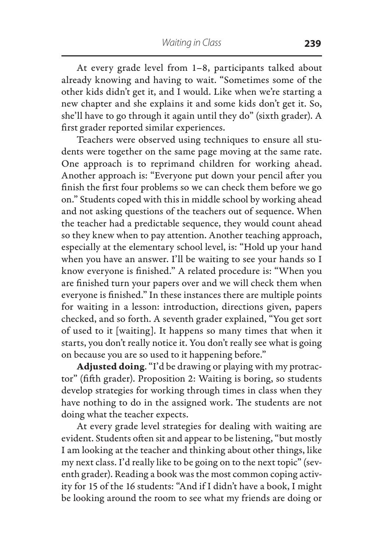At every grade level from 1–8, participants talked about already knowing and having to wait. "Sometimes some of the other kids didn't get it, and I would. Like when we're starting a new chapter and she explains it and some kids don't get it. So, she'll have to go through it again until they do" (sixth grader). A first grader reported similar experiences.

Teachers were observed using techniques to ensure all students were together on the same page moving at the same rate. One approach is to reprimand children for working ahead. Another approach is: "Everyone put down your pencil after you finish the first four problems so we can check them before we go on." Students coped with this in middle school by working ahead and not asking questions of the teachers out of sequence. When the teacher had a predictable sequence, they would count ahead so they knew when to pay attention. Another teaching approach, especially at the elementary school level, is: "Hold up your hand when you have an answer. I'll be waiting to see your hands so I know everyone is finished." A related procedure is: "When you are finished turn your papers over and we will check them when everyone is finished." In these instances there are multiple points for waiting in a lesson: introduction, directions given, papers checked, and so forth. A seventh grader explained, "You get sort of used to it [waiting]. It happens so many times that when it starts, you don't really notice it. You don't really see what is going on because you are so used to it happening before."

Adjusted doing. "I'd be drawing or playing with my protractor" (fifth grader). Proposition 2: Waiting is boring, so students develop strategies for working through times in class when they have nothing to do in the assigned work. The students are not doing what the teacher expects.

At every grade level strategies for dealing with waiting are evident. Students often sit and appear to be listening, "but mostly I am looking at the teacher and thinking about other things, like my next class. I'd really like to be going on to the next topic" (seventh grader). Reading a book was the most common coping activity for 15 of the 16 students: "And if I didn't have a book, I might be looking around the room to see what my friends are doing or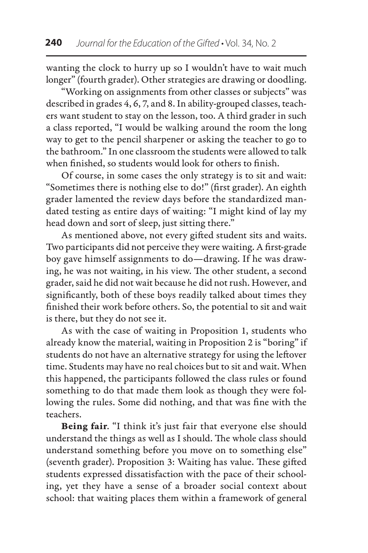wanting the clock to hurry up so I wouldn't have to wait much longer" (fourth grader). Other strategies are drawing or doodling.

"Working on assignments from other classes or subjects" was described in grades 4, 6, 7, and 8. In ability-grouped classes, teachers want student to stay on the lesson, too. A third grader in such a class reported, "I would be walking around the room the long way to get to the pencil sharpener or asking the teacher to go to the bathroom." In one classroom the students were allowed to talk when finished, so students would look for others to finish.

Of course, in some cases the only strategy is to sit and wait: "Sometimes there is nothing else to do!" (first grader). An eighth grader lamented the review days before the standardized mandated testing as entire days of waiting: "I might kind of lay my head down and sort of sleep, just sitting there."

As mentioned above, not every gifted student sits and waits. Two participants did not perceive they were waiting. A first-grade boy gave himself assignments to do—drawing. If he was drawing, he was not waiting, in his view. The other student, a second grader, said he did not wait because he did not rush. However, and significantly, both of these boys readily talked about times they finished their work before others. So, the potential to sit and wait is there, but they do not see it.

As with the case of waiting in Proposition 1, students who already know the material, waiting in Proposition 2 is "boring" if students do not have an alternative strategy for using the leftover time. Students may have no real choices but to sit and wait. When this happened, the participants followed the class rules or found something to do that made them look as though they were following the rules. Some did nothing, and that was fine with the teachers.

Being fair. "I think it's just fair that everyone else should understand the things as well as I should. The whole class should understand something before you move on to something else" (seventh grader). Proposition 3: Waiting has value. These gifted students expressed dissatisfaction with the pace of their schooling, yet they have a sense of a broader social context about school: that waiting places them within a framework of general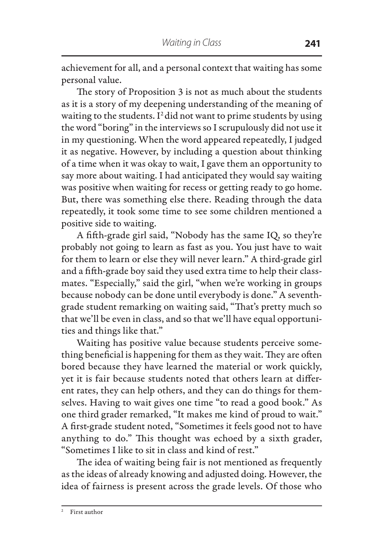achievement for all, and a personal context that waiting has some personal value.

The story of Proposition 3 is not as much about the students as it is a story of my deepening understanding of the meaning of waiting to the students. I<sup>2</sup> did not want to prime students by using the word "boring" in the interviews so I scrupulously did not use it in my questioning. When the word appeared repeatedly, I judged it as negative. However, by including a question about thinking of a time when it was okay to wait, I gave them an opportunity to say more about waiting. I had anticipated they would say waiting was positive when waiting for recess or getting ready to go home. But, there was something else there. Reading through the data repeatedly, it took some time to see some children mentioned a positive side to waiting.

A fifth-grade girl said, "Nobody has the same IQ, so they're probably not going to learn as fast as you. You just have to wait for them to learn or else they will never learn." A third-grade girl and a fifth-grade boy said they used extra time to help their classmates. "Especially," said the girl, "when we're working in groups because nobody can be done until everybody is done." A seventhgrade student remarking on waiting said, "That's pretty much so that we'll be even in class, and so that we'll have equal opportunities and things like that."

Waiting has positive value because students perceive something beneficial is happening for them as they wait. They are often bored because they have learned the material or work quickly, yet it is fair because students noted that others learn at different rates, they can help others, and they can do things for themselves. Having to wait gives one time "to read a good book." As one third grader remarked, "It makes me kind of proud to wait." A first-grade student noted, "Sometimes it feels good not to have anything to do." This thought was echoed by a sixth grader, "Sometimes I like to sit in class and kind of rest."

The idea of waiting being fair is not mentioned as frequently as the ideas of already knowing and adjusted doing. However, the idea of fairness is present across the grade levels. Of those who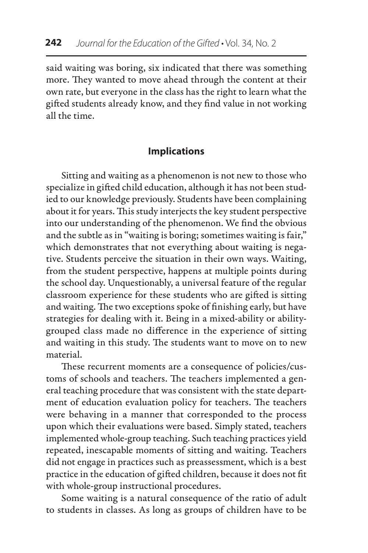said waiting was boring, six indicated that there was something more. They wanted to move ahead through the content at their own rate, but everyone in the class has the right to learn what the gifted students already know, and they find value in not working all the time.

### **Implications**

Sitting and waiting as a phenomenon is not new to those who specialize in gifted child education, although it has not been studied to our knowledge previously. Students have been complaining about it for years. This study interjects the key student perspective into our understanding of the phenomenon. We find the obvious and the subtle as in "waiting is boring; sometimes waiting is fair," which demonstrates that not everything about waiting is negative. Students perceive the situation in their own ways. Waiting, from the student perspective, happens at multiple points during the school day. Unquestionably, a universal feature of the regular classroom experience for these students who are gifted is sitting and waiting. The two exceptions spoke of finishing early, but have strategies for dealing with it. Being in a mixed-ability or abilitygrouped class made no difference in the experience of sitting and waiting in this study. The students want to move on to new material.

These recurrent moments are a consequence of policies/customs of schools and teachers. The teachers implemented a general teaching procedure that was consistent with the state department of education evaluation policy for teachers. The teachers were behaving in a manner that corresponded to the process upon which their evaluations were based. Simply stated, teachers implemented whole-group teaching. Such teaching practices yield repeated, inescapable moments of sitting and waiting. Teachers did not engage in practices such as preassessment, which is a best practice in the education of gifted children, because it does not fit with whole-group instructional procedures.

Some waiting is a natural consequence of the ratio of adult to students in classes. As long as groups of children have to be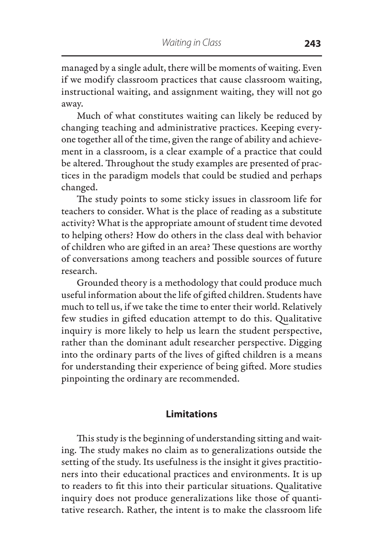managed by a single adult, there will be moments of waiting. Even if we modify classroom practices that cause classroom waiting, instructional waiting, and assignment waiting, they will not go away.

Much of what constitutes waiting can likely be reduced by changing teaching and administrative practices. Keeping everyone together all of the time, given the range of ability and achievement in a classroom, is a clear example of a practice that could be altered. Throughout the study examples are presented of practices in the paradigm models that could be studied and perhaps changed.

The study points to some sticky issues in classroom life for teachers to consider. What is the place of reading as a substitute activity? What is the appropriate amount of student time devoted to helping others? How do others in the class deal with behavior of children who are gifted in an area? These questions are worthy of conversations among teachers and possible sources of future research.

Grounded theory is a methodology that could produce much useful information about the life of gifted children. Students have much to tell us, if we take the time to enter their world. Relatively few studies in gifted education attempt to do this. Qualitative inquiry is more likely to help us learn the student perspective, rather than the dominant adult researcher perspective. Digging into the ordinary parts of the lives of gifted children is a means for understanding their experience of being gifted. More studies pinpointing the ordinary are recommended.

### **Limitations**

This study is the beginning of understanding sitting and waiting. The study makes no claim as to generalizations outside the setting of the study. Its usefulness is the insight it gives practitioners into their educational practices and environments. It is up to readers to fit this into their particular situations. Qualitative inquiry does not produce generalizations like those of quantitative research. Rather, the intent is to make the classroom life